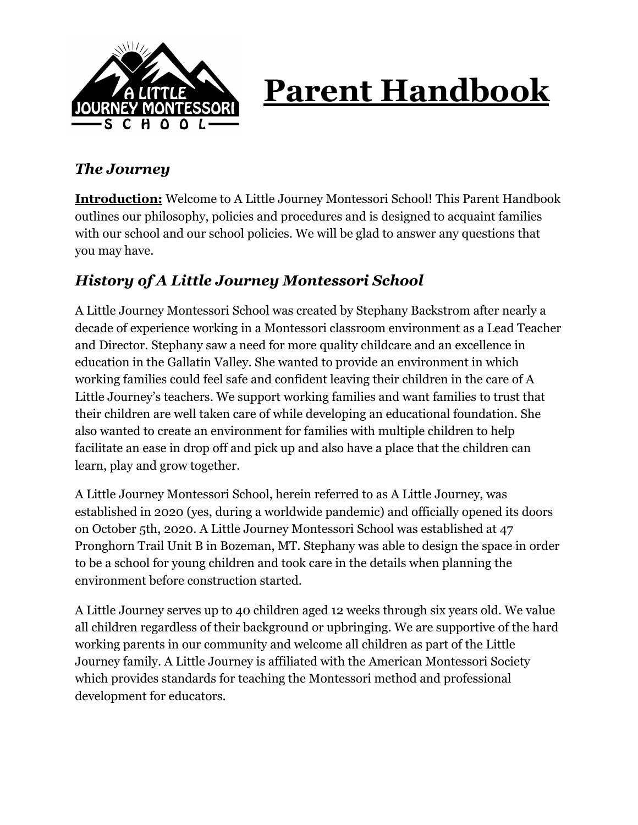

# **Parent Handbook**

## *The Journey*

**Introduction:** Welcome to A Little Journey Montessori School! This Parent Handbook outlines our philosophy, policies and procedures and is designed to acquaint families with our school and our school policies. We will be glad to answer any questions that you may have.

# *History of A Little Journey Montessori School*

A Little Journey Montessori School was created by Stephany Backstrom after nearly a decade of experience working in a Montessori classroom environment as a Lead Teacher and Director. Stephany saw a need for more quality childcare and an excellence in education in the Gallatin Valley. She wanted to provide an environment in which working families could feel safe and confident leaving their children in the care of A Little Journey's teachers. We support working families and want families to trust that their children are well taken care of while developing an educational foundation. She also wanted to create an environment for families with multiple children to help facilitate an ease in drop off and pick up and also have a place that the children can learn, play and grow together.

A Little Journey Montessori School, herein referred to as A Little Journey, was established in 2020 (yes, during a worldwide pandemic) and officially opened its doors on October 5th, 2020. A Little Journey Montessori School was established at 47 Pronghorn Trail Unit B in Bozeman, MT. Stephany was able to design the space in order to be a school for young children and took care in the details when planning the environment before construction started.

A Little Journey serves up to 40 children aged 12 weeks through six years old. We value all children regardless of their background or upbringing. We are supportive of the hard working parents in our community and welcome all children as part of the Little Journey family. A Little Journey is affiliated with the American Montessori Society which provides standards for teaching the Montessori method and professional development for educators.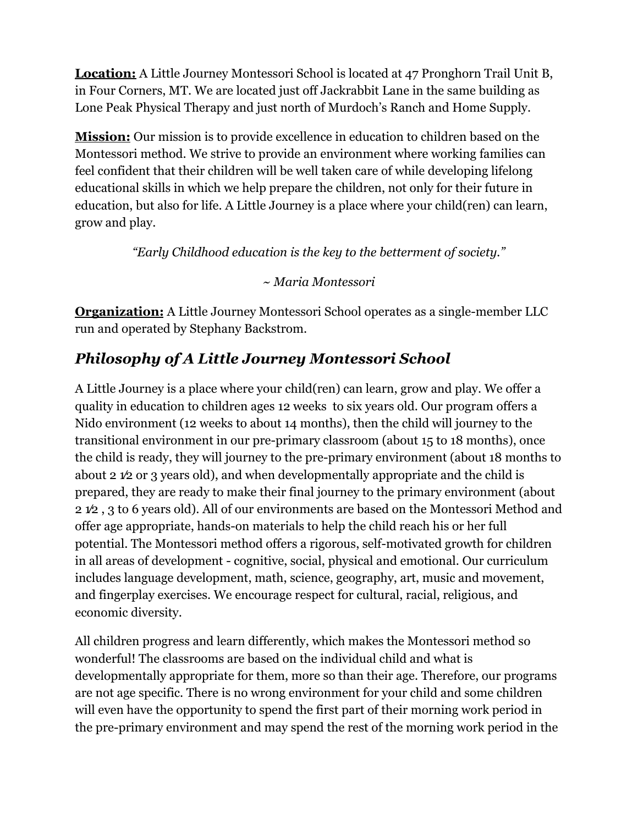**Location:** A Little Journey Montessori School is located at 47 Pronghorn Trail Unit B, in Four Corners, MT. We are located just off Jackrabbit Lane in the same building as Lone Peak Physical Therapy and just north of Murdoch's Ranch and Home Supply.

**Mission:** Our mission is to provide excellence in education to children based on the Montessori method. We strive to provide an environment where working families can feel confident that their children will be well taken care of while developing lifelong educational skills in which we help prepare the children, not only for their future in education, but also for life. A Little Journey is a place where your child(ren) can learn, grow and play.

*"Early Childhood education is the key to the betterment of society."*

#### *~ Maria Montessori*

**Organization:** A Little Journey Montessori School operates as a single-member LLC run and operated by Stephany Backstrom.

# *Philosophy of A Little Journey Montessori School*

A Little Journey is a place where your child(ren) can learn, grow and play. We offer a quality in education to children ages 12 weeks to six years old. Our program offers a Nido environment (12 weeks to about 14 months), then the child will journey to the transitional environment in our pre-primary classroom (about 15 to 18 months), once the child is ready, they will journey to the pre-primary environment (about 18 months to about 2 1⁄2 or 3 years old), and when developmentally appropriate and the child is prepared, they are ready to make their final journey to the primary environment (about 2 1⁄2 , 3 to 6 years old). All of our environments are based on the Montessori Method and offer age appropriate, hands-on materials to help the child reach his or her full potential. The Montessori method offers a rigorous, self-motivated growth for children in all areas of development - cognitive, social, physical and emotional. Our curriculum includes language development, math, science, geography, art, music and movement, and fingerplay exercises. We encourage respect for cultural, racial, religious, and economic diversity.

All children progress and learn differently, which makes the Montessori method so wonderful! The classrooms are based on the individual child and what is developmentally appropriate for them, more so than their age. Therefore, our programs are not age specific. There is no wrong environment for your child and some children will even have the opportunity to spend the first part of their morning work period in the pre-primary environment and may spend the rest of the morning work period in the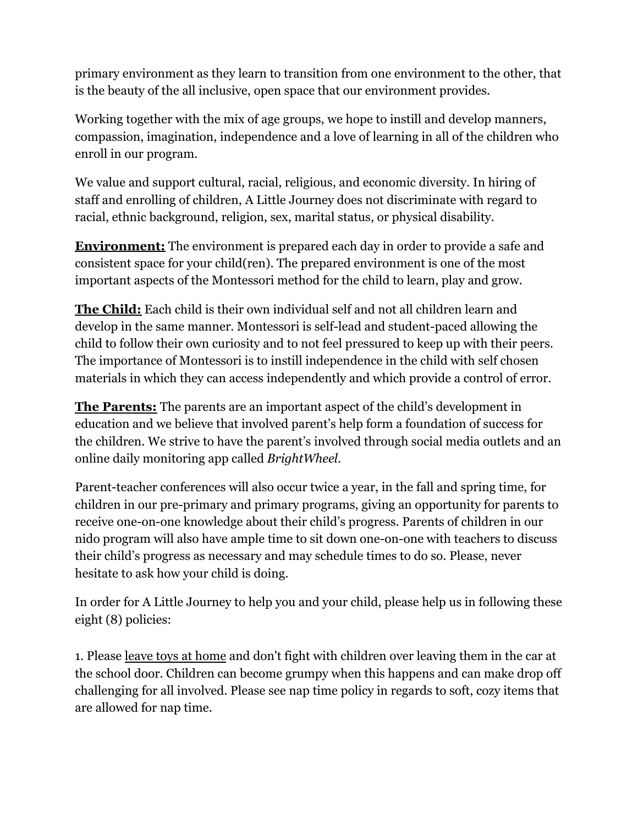primary environment as they learn to transition from one environment to the other, that is the beauty of the all inclusive, open space that our environment provides.

Working together with the mix of age groups, we hope to instill and develop manners, compassion, imagination, independence and a love of learning in all of the children who enroll in our program.

We value and support cultural, racial, religious, and economic diversity. In hiring of staff and enrolling of children, A Little Journey does not discriminate with regard to racial, ethnic background, religion, sex, marital status, or physical disability.

**Environment:** The environment is prepared each day in order to provide a safe and consistent space for your child(ren). The prepared environment is one of the most important aspects of the Montessori method for the child to learn, play and grow.

**The Child:** Each child is their own individual self and not all children learn and develop in the same manner. Montessori is self-lead and student-paced allowing the child to follow their own curiosity and to not feel pressured to keep up with their peers. The importance of Montessori is to instill independence in the child with self chosen materials in which they can access independently and which provide a control of error.

**The Parents:** The parents are an important aspect of the child's development in education and we believe that involved parent's help form a foundation of success for the children. We strive to have the parent's involved through social media outlets and an online daily monitoring app called *BrightWheel.*

Parent-teacher conferences will also occur twice a year, in the fall and spring time, for children in our pre-primary and primary programs, giving an opportunity for parents to receive one-on-one knowledge about their child's progress. Parents of children in our nido program will also have ample time to sit down one-on-one with teachers to discuss their child's progress as necessary and may schedule times to do so. Please, never hesitate to ask how your child is doing.

In order for A Little Journey to help you and your child, please help us in following these eight (8) policies:

1. Please leave toys at home and don't fight with children over leaving them in the car at the school door. Children can become grumpy when this happens and can make drop off challenging for all involved. Please see nap time policy in regards to soft, cozy items that are allowed for nap time.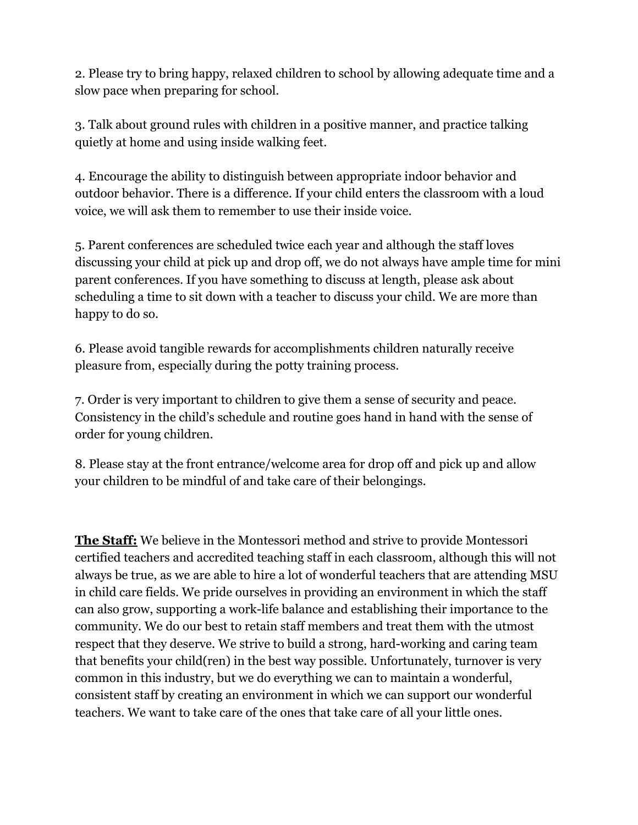2. Please try to bring happy, relaxed children to school by allowing adequate time and a slow pace when preparing for school.

3. Talk about ground rules with children in a positive manner, and practice talking quietly at home and using inside walking feet.

4. Encourage the ability to distinguish between appropriate indoor behavior and outdoor behavior. There is a difference. If your child enters the classroom with a loud voice, we will ask them to remember to use their inside voice.

5. Parent conferences are scheduled twice each year and although the staff loves discussing your child at pick up and drop off, we do not always have ample time for mini parent conferences. If you have something to discuss at length, please ask about scheduling a time to sit down with a teacher to discuss your child. We are more than happy to do so.

6. Please avoid tangible rewards for accomplishments children naturally receive pleasure from, especially during the potty training process.

7. Order is very important to children to give them a sense of security and peace. Consistency in the child's schedule and routine goes hand in hand with the sense of order for young children.

8. Please stay at the front entrance/welcome area for drop off and pick up and allow your children to be mindful of and take care of their belongings.

**The Staff:** We believe in the Montessori method and strive to provide Montessori certified teachers and accredited teaching staff in each classroom, although this will not always be true, as we are able to hire a lot of wonderful teachers that are attending MSU in child care fields. We pride ourselves in providing an environment in which the staff can also grow, supporting a work-life balance and establishing their importance to the community. We do our best to retain staff members and treat them with the utmost respect that they deserve. We strive to build a strong, hard-working and caring team that benefits your child(ren) in the best way possible. Unfortunately, turnover is very common in this industry, but we do everything we can to maintain a wonderful, consistent staff by creating an environment in which we can support our wonderful teachers. We want to take care of the ones that take care of all your little ones.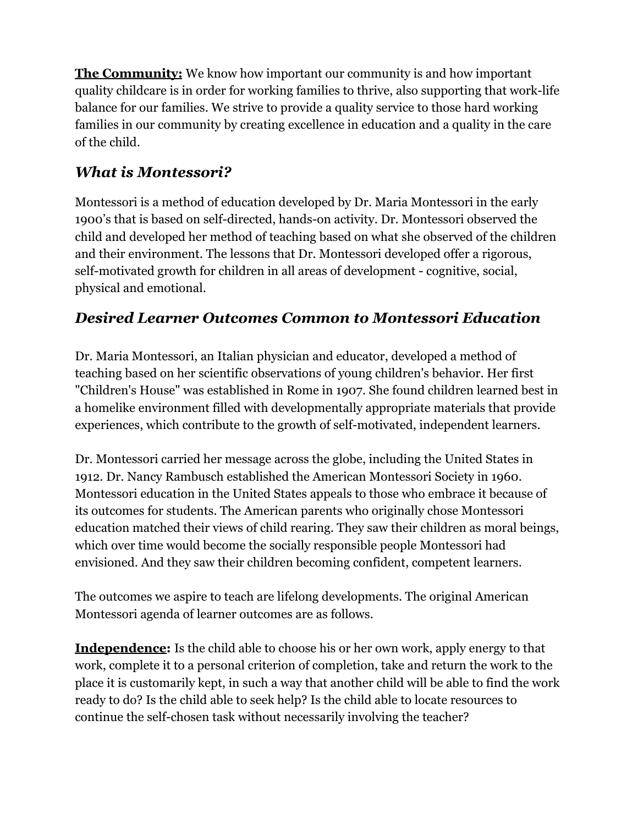**The Community:** We know how important our community is and how important quality childcare is in order for working families to thrive, also supporting that work-life balance for our families. We strive to provide a quality service to those hard working families in our community by creating excellence in education and a quality in the care of the child.

# *What is Montessori?*

Montessori is a method of education developed by Dr. Maria Montessori in the early 1900's that is based on self-directed, hands-on activity. Dr. Montessori observed the child and developed her method of teaching based on what she observed of the children and their environment. The lessons that Dr. Montessori developed offer a rigorous, self-motivated growth for children in all areas of development - cognitive, social, physical and emotional.

# *Desired Learner Outcomes Common to Montessori Education*

Dr. Maria Montessori, an Italian physician and educator, developed a method of teaching based on her scientific observations of young children's behavior. Her first "Children's House" was established in Rome in 1907. She found children learned best in a homelike environment filled with developmentally appropriate materials that provide experiences, which contribute to the growth of self-motivated, independent learners.

Dr. Montessori carried her message across the globe, including the United States in 1912. Dr. Nancy Rambusch established the American Montessori Society in 1960. Montessori education in the United States appeals to those who embrace it because of its outcomes for students. The American parents who originally chose Montessori education matched their views of child rearing. They saw their children as moral beings, which over time would become the socially responsible people Montessori had envisioned. And they saw their children becoming confident, competent learners.

The outcomes we aspire to teach are lifelong developments. The original American Montessori agenda of learner outcomes are as follows.

**Independence:** Is the child able to choose his or her own work, apply energy to that work, complete it to a personal criterion of completion, take and return the work to the place it is customarily kept, in such a way that another child will be able to find the work ready to do? Is the child able to seek help? Is the child able to locate resources to continue the self-chosen task without necessarily involving the teacher?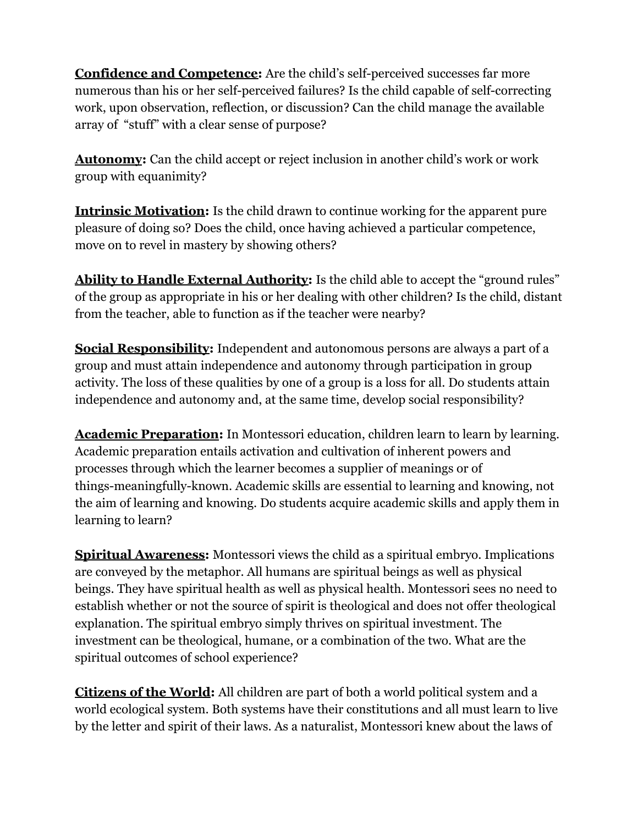**Confidence and Competence:** Are the child's self-perceived successes far more numerous than his or her self-perceived failures? Is the child capable of self-correcting work, upon observation, reflection, or discussion? Can the child manage the available array of "stuff" with a clear sense of purpose?

**Autonomy:** Can the child accept or reject inclusion in another child's work or work group with equanimity?

**Intrinsic Motivation:** Is the child drawn to continue working for the apparent pure pleasure of doing so? Does the child, once having achieved a particular competence, move on to revel in mastery by showing others?

Ability to Handle External Authority: Is the child able to accept the "ground rules" of the group as appropriate in his or her dealing with other children? Is the child, distant from the teacher, able to function as if the teacher were nearby?

**Social Responsibility:** Independent and autonomous persons are always a part of a group and must attain independence and autonomy through participation in group activity. The loss of these qualities by one of a group is a loss for all. Do students attain independence and autonomy and, at the same time, develop social responsibility?

**Academic Preparation:** In Montessori education, children learn to learn by learning. Academic preparation entails activation and cultivation of inherent powers and processes through which the learner becomes a supplier of meanings or of things-meaningfully-known. Academic skills are essential to learning and knowing, not the aim of learning and knowing. Do students acquire academic skills and apply them in learning to learn?

**Spiritual Awareness:** Montessori views the child as a spiritual embryo. Implications are conveyed by the metaphor. All humans are spiritual beings as well as physical beings. They have spiritual health as well as physical health. Montessori sees no need to establish whether or not the source of spirit is theological and does not offer theological explanation. The spiritual embryo simply thrives on spiritual investment. The investment can be theological, humane, or a combination of the two. What are the spiritual outcomes of school experience?

**Citizens of the World:** All children are part of both a world political system and a world ecological system. Both systems have their constitutions and all must learn to live by the letter and spirit of their laws. As a naturalist, Montessori knew about the laws of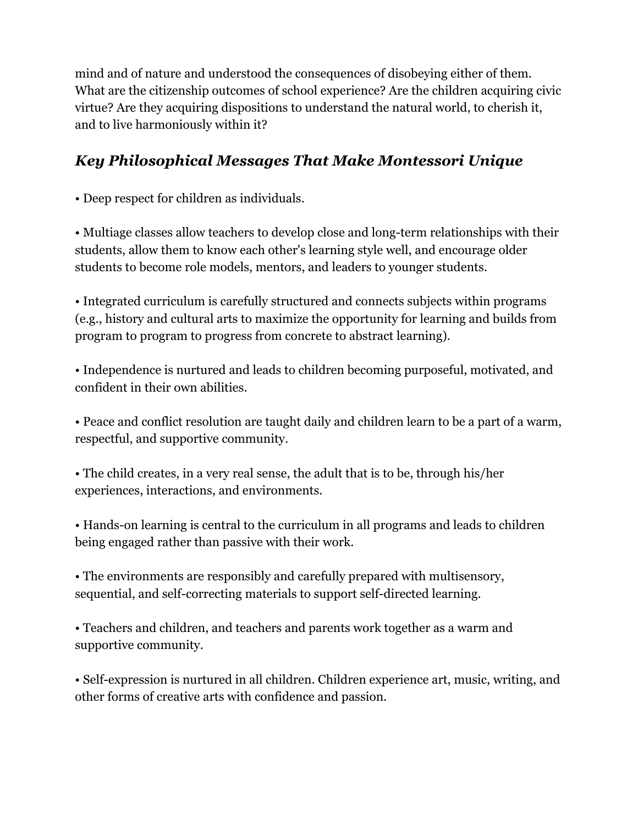mind and of nature and understood the consequences of disobeying either of them. What are the citizenship outcomes of school experience? Are the children acquiring civic virtue? Are they acquiring dispositions to understand the natural world, to cherish it, and to live harmoniously within it?

# *Key Philosophical Messages That Make Montessori Unique*

• Deep respect for children as individuals.

• Multiage classes allow teachers to develop close and long-term relationships with their students, allow them to know each other's learning style well, and encourage older students to become role models, mentors, and leaders to younger students.

• Integrated curriculum is carefully structured and connects subjects within programs (e.g., history and cultural arts to maximize the opportunity for learning and builds from program to program to progress from concrete to abstract learning).

• Independence is nurtured and leads to children becoming purposeful, motivated, and confident in their own abilities.

• Peace and conflict resolution are taught daily and children learn to be a part of a warm, respectful, and supportive community.

• The child creates, in a very real sense, the adult that is to be, through his/her experiences, interactions, and environments.

• Hands-on learning is central to the curriculum in all programs and leads to children being engaged rather than passive with their work.

• The environments are responsibly and carefully prepared with multisensory, sequential, and self-correcting materials to support self-directed learning.

• Teachers and children, and teachers and parents work together as a warm and supportive community.

• Self-expression is nurtured in all children. Children experience art, music, writing, and other forms of creative arts with confidence and passion.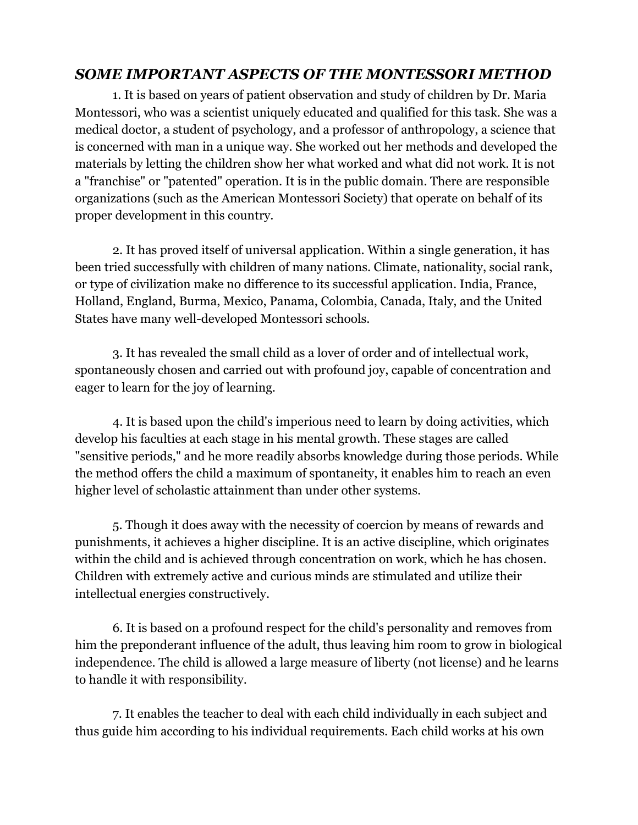#### *SOME IMPORTANT ASPECTS OF THE MONTESSORI METHOD*

1. It is based on years of patient observation and study of children by Dr. Maria Montessori, who was a scientist uniquely educated and qualified for this task. She was a medical doctor, a student of psychology, and a professor of anthropology, a science that is concerned with man in a unique way. She worked out her methods and developed the materials by letting the children show her what worked and what did not work. It is not a "franchise" or "patented" operation. It is in the public domain. There are responsible organizations (such as the American Montessori Society) that operate on behalf of its proper development in this country.

2. It has proved itself of universal application. Within a single generation, it has been tried successfully with children of many nations. Climate, nationality, social rank, or type of civilization make no difference to its successful application. India, France, Holland, England, Burma, Mexico, Panama, Colombia, Canada, Italy, and the United States have many well-developed Montessori schools.

3. It has revealed the small child as a lover of order and of intellectual work, spontaneously chosen and carried out with profound joy, capable of concentration and eager to learn for the joy of learning.

4. It is based upon the child's imperious need to learn by doing activities, which develop his faculties at each stage in his mental growth. These stages are called "sensitive periods," and he more readily absorbs knowledge during those periods. While the method offers the child a maximum of spontaneity, it enables him to reach an even higher level of scholastic attainment than under other systems.

5. Though it does away with the necessity of coercion by means of rewards and punishments, it achieves a higher discipline. It is an active discipline, which originates within the child and is achieved through concentration on work, which he has chosen. Children with extremely active and curious minds are stimulated and utilize their intellectual energies constructively.

6. It is based on a profound respect for the child's personality and removes from him the preponderant influence of the adult, thus leaving him room to grow in biological independence. The child is allowed a large measure of liberty (not license) and he learns to handle it with responsibility.

7. It enables the teacher to deal with each child individually in each subject and thus guide him according to his individual requirements. Each child works at his own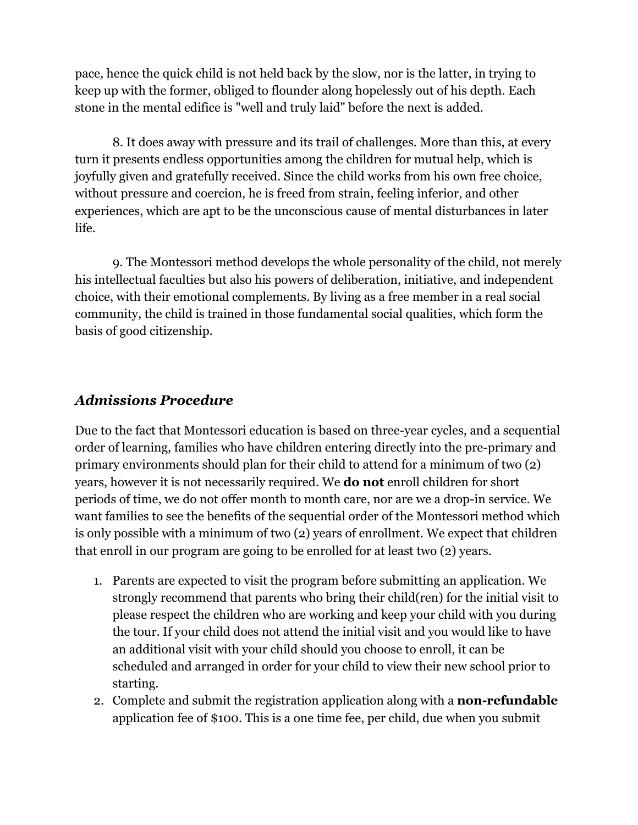pace, hence the quick child is not held back by the slow, nor is the latter, in trying to keep up with the former, obliged to flounder along hopelessly out of his depth. Each stone in the mental edifice is "well and truly laid" before the next is added.

8. It does away with pressure and its trail of challenges. More than this, at every turn it presents endless opportunities among the children for mutual help, which is joyfully given and gratefully received. Since the child works from his own free choice, without pressure and coercion, he is freed from strain, feeling inferior, and other experiences, which are apt to be the unconscious cause of mental disturbances in later life.

9. The Montessori method develops the whole personality of the child, not merely his intellectual faculties but also his powers of deliberation, initiative, and independent choice, with their emotional complements. By living as a free member in a real social community, the child is trained in those fundamental social qualities, which form the basis of good citizenship.

#### *Admissions Procedure*

Due to the fact that Montessori education is based on three-year cycles, and a sequential order of learning, families who have children entering directly into the pre-primary and primary environments should plan for their child to attend for a minimum of two (2) years, however it is not necessarily required. We **do not** enroll children for short periods of time, we do not offer month to month care, nor are we a drop-in service. We want families to see the benefits of the sequential order of the Montessori method which is only possible with a minimum of two (2) years of enrollment. We expect that children that enroll in our program are going to be enrolled for at least two (2) years.

- 1. Parents are expected to visit the program before submitting an application. We strongly recommend that parents who bring their child(ren) for the initial visit to please respect the children who are working and keep your child with you during the tour. If your child does not attend the initial visit and you would like to have an additional visit with your child should you choose to enroll, it can be scheduled and arranged in order for your child to view their new school prior to starting.
- 2. Complete and submit the registration application along with a **non-refundable** application fee of \$100. This is a one time fee, per child, due when you submit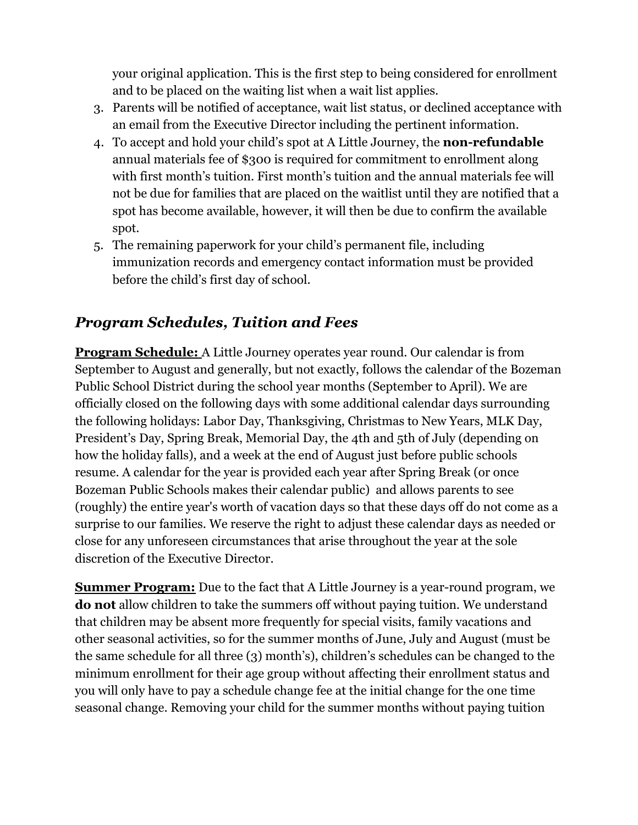your original application. This is the first step to being considered for enrollment and to be placed on the waiting list when a wait list applies.

- 3. Parents will be notified of acceptance, wait list status, or declined acceptance with an email from the Executive Director including the pertinent information.
- 4. To accept and hold your child's spot at A Little Journey, the **non-refundable** annual materials fee of \$300 is required for commitment to enrollment along with first month's tuition. First month's tuition and the annual materials fee will not be due for families that are placed on the waitlist until they are notified that a spot has become available, however, it will then be due to confirm the available spot.
- 5. The remaining paperwork for your child's permanent file, including immunization records and emergency contact information must be provided before the child's first day of school.

## *Program Schedules, Tuition and Fees*

**Program Schedule:** A Little Journey operates year round. Our calendar is from September to August and generally, but not exactly, follows the calendar of the Bozeman Public School District during the school year months (September to April). We are officially closed on the following days with some additional calendar days surrounding the following holidays: Labor Day, Thanksgiving, Christmas to New Years, MLK Day, President's Day, Spring Break, Memorial Day, the 4th and 5th of July (depending on how the holiday falls), and a week at the end of August just before public schools resume. A calendar for the year is provided each year after Spring Break (or once Bozeman Public Schools makes their calendar public) and allows parents to see (roughly) the entire year's worth of vacation days so that these days off do not come as a surprise to our families. We reserve the right to adjust these calendar days as needed or close for any unforeseen circumstances that arise throughout the year at the sole discretion of the Executive Director.

**Summer Program:** Due to the fact that A Little Journey is a year-round program, we **do not** allow children to take the summers off without paying tuition. We understand that children may be absent more frequently for special visits, family vacations and other seasonal activities, so for the summer months of June, July and August (must be the same schedule for all three (3) month's), children's schedules can be changed to the minimum enrollment for their age group without affecting their enrollment status and you will only have to pay a schedule change fee at the initial change for the one time seasonal change. Removing your child for the summer months without paying tuition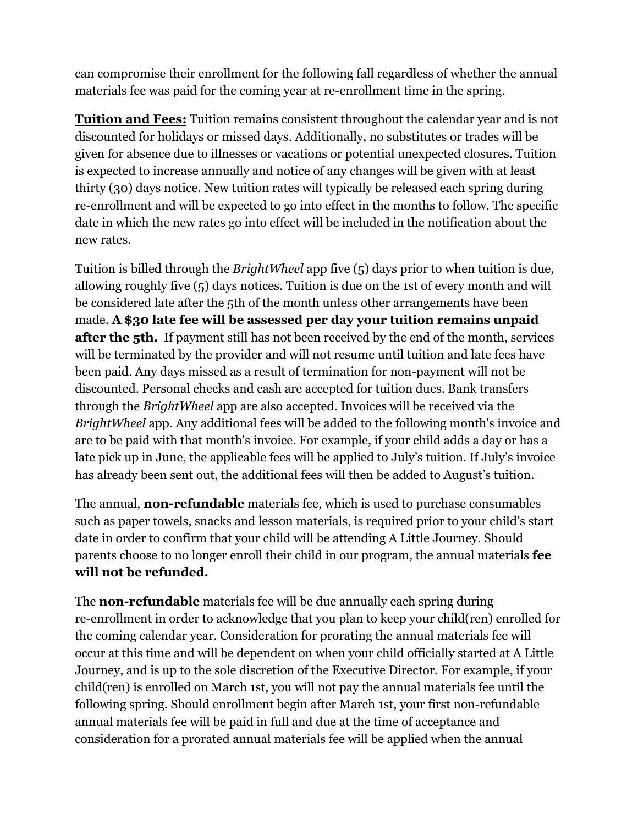can compromise their enrollment for the following fall regardless of whether the annual materials fee was paid for the coming year at re-enrollment time in the spring.

**Tuition and Fees:** Tuition remains consistent throughout the calendar year and is not discounted for holidays or missed days. Additionally, no substitutes or trades will be given for absence due to illnesses or vacations or potential unexpected closures. Tuition is expected to increase annually and notice of any changes will be given with at least thirty (30) days notice. New tuition rates will typically be released each spring during re-enrollment and will be expected to go into effect in the months to follow. The specific date in which the new rates go into effect will be included in the notification about the new rates.

Tuition is billed through the *BrightWheel* app five (5) days prior to when tuition is due, allowing roughly five (5) days notices. Tuition is due on the 1st of every month and will be considered late after the 5th of the month unless other arrangements have been made. **A \$30 late fee will be assessed per day your tuition remains unpaid after the 5th.** If payment still has not been received by the end of the month, services will be terminated by the provider and will not resume until tuition and late fees have been paid. Any days missed as a result of termination for non-payment will not be discounted. Personal checks and cash are accepted for tuition dues. Bank transfers through the *BrightWheel* app are also accepted. Invoices will be received via the *BrightWheel* app. Any additional fees will be added to the following month's invoice and are to be paid with that month's invoice. For example, if your child adds a day or has a late pick up in June, the applicable fees will be applied to July's tuition. If July's invoice has already been sent out, the additional fees will then be added to August's tuition.

The annual, **non-refundable** materials fee, which is used to purchase consumables such as paper towels, snacks and lesson materials, is required prior to your child's start date in order to confirm that your child will be attending A Little Journey. Should parents choose to no longer enroll their child in our program, the annual materials **fee will not be refunded.**

The **non-refundable** materials fee will be due annually each spring during re-enrollment in order to acknowledge that you plan to keep your child(ren) enrolled for the coming calendar year. Consideration for prorating the annual materials fee will occur at this time and will be dependent on when your child officially started at A Little Journey, and is up to the sole discretion of the Executive Director. For example, if your child(ren) is enrolled on March 1st, you will not pay the annual materials fee until the following spring. Should enrollment begin after March 1st, your first non-refundable annual materials fee will be paid in full and due at the time of acceptance and consideration for a prorated annual materials fee will be applied when the annual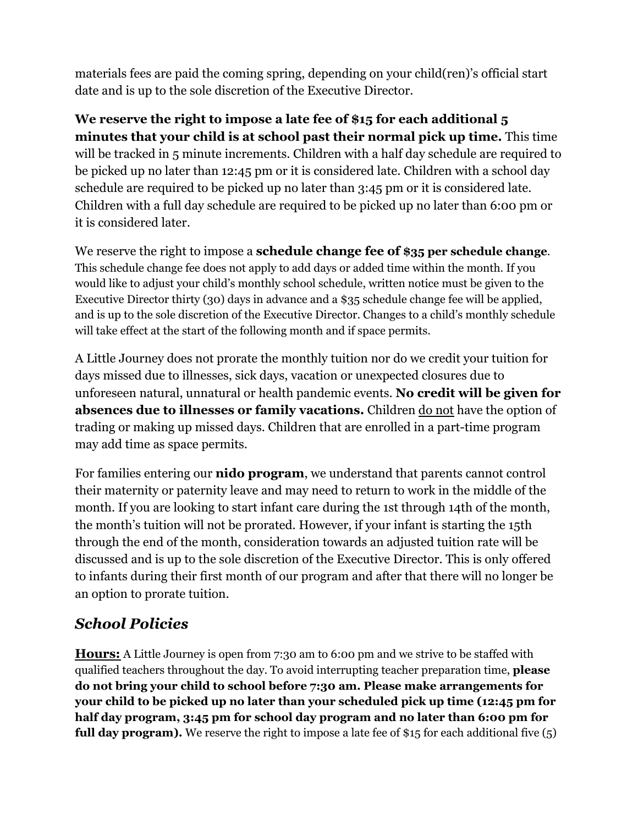materials fees are paid the coming spring, depending on your child(ren)'s official start date and is up to the sole discretion of the Executive Director.

**We reserve the right to impose a late fee of \$15 for each additional 5 minutes that your child is at school past their normal pick up time.** This time will be tracked in 5 minute increments. Children with a half day schedule are required to be picked up no later than 12:45 pm or it is considered late. Children with a school day schedule are required to be picked up no later than 3:45 pm or it is considered late. Children with a full day schedule are required to be picked up no later than 6:00 pm or it is considered later.

We reserve the right to impose a **schedule change fee of \$35 per schedule change**. This schedule change fee does not apply to add days or added time within the month. If you would like to adjust your child's monthly school schedule, written notice must be given to the Executive Director thirty (30) days in advance and a \$35 schedule change fee will be applied, and is up to the sole discretion of the Executive Director. Changes to a child's monthly schedule will take effect at the start of the following month and if space permits.

A Little Journey does not prorate the monthly tuition nor do we credit your tuition for days missed due to illnesses, sick days, vacation or unexpected closures due to unforeseen natural, unnatural or health pandemic events. **No credit will be given for absences due to illnesses or family vacations.** Children do not have the option of trading or making up missed days. Children that are enrolled in a part-time program may add time as space permits.

For families entering our **nido program**, we understand that parents cannot control their maternity or paternity leave and may need to return to work in the middle of the month. If you are looking to start infant care during the 1st through 14th of the month, the month's tuition will not be prorated. However, if your infant is starting the 15th through the end of the month, consideration towards an adjusted tuition rate will be discussed and is up to the sole discretion of the Executive Director. This is only offered to infants during their first month of our program and after that there will no longer be an option to prorate tuition.

# *School Policies*

**Hours:** A Little Journey is open from 7:30 am to 6:00 pm and we strive to be staffed with qualified teachers throughout the day. To avoid interrupting teacher preparation time, **please do not bring your child to school before 7:30 am. Please make arrangements for your child to be picked up no later than your scheduled pick up time (12:45 pm for half day program, 3:45 pm for school day program and no later than 6:00 pm for full day program).** We reserve the right to impose a late fee of \$15 for each additional five (5)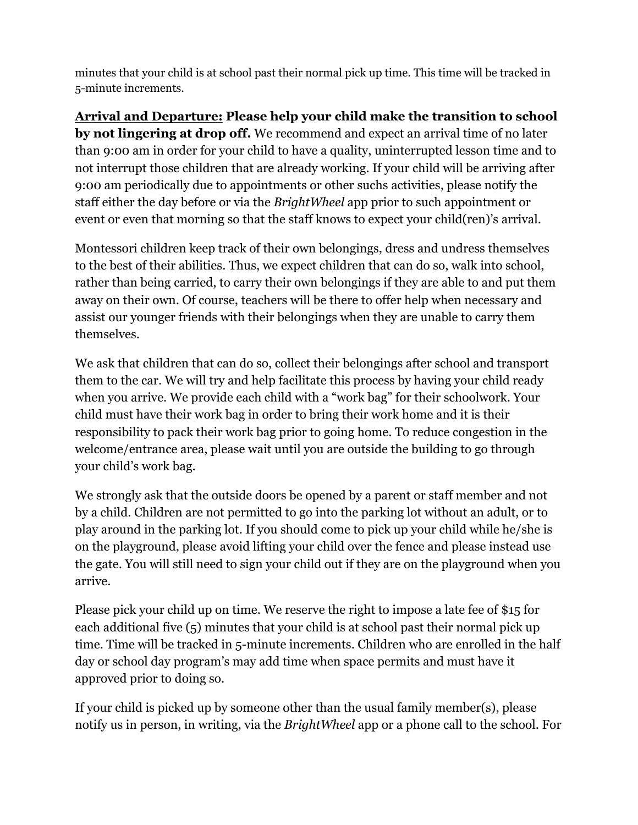minutes that your child is at school past their normal pick up time. This time will be tracked in 5-minute increments.

**Arrival and Departure: Please help your child make the transition to school by not lingering at drop off.** We recommend and expect an arrival time of no later than 9:00 am in order for your child to have a quality, uninterrupted lesson time and to not interrupt those children that are already working. If your child will be arriving after 9:00 am periodically due to appointments or other suchs activities, please notify the staff either the day before or via the *BrightWheel* app prior to such appointment or event or even that morning so that the staff knows to expect your child(ren)'s arrival.

Montessori children keep track of their own belongings, dress and undress themselves to the best of their abilities. Thus, we expect children that can do so, walk into school, rather than being carried, to carry their own belongings if they are able to and put them away on their own. Of course, teachers will be there to offer help when necessary and assist our younger friends with their belongings when they are unable to carry them themselves.

We ask that children that can do so, collect their belongings after school and transport them to the car. We will try and help facilitate this process by having your child ready when you arrive. We provide each child with a "work bag" for their schoolwork. Your child must have their work bag in order to bring their work home and it is their responsibility to pack their work bag prior to going home. To reduce congestion in the welcome/entrance area, please wait until you are outside the building to go through your child's work bag.

We strongly ask that the outside doors be opened by a parent or staff member and not by a child. Children are not permitted to go into the parking lot without an adult, or to play around in the parking lot. If you should come to pick up your child while he/she is on the playground, please avoid lifting your child over the fence and please instead use the gate. You will still need to sign your child out if they are on the playground when you arrive.

Please pick your child up on time. We reserve the right to impose a late fee of \$15 for each additional five (5) minutes that your child is at school past their normal pick up time. Time will be tracked in 5-minute increments. Children who are enrolled in the half day or school day program's may add time when space permits and must have it approved prior to doing so.

If your child is picked up by someone other than the usual family member(s), please notify us in person, in writing, via the *BrightWheel* app or a phone call to the school. For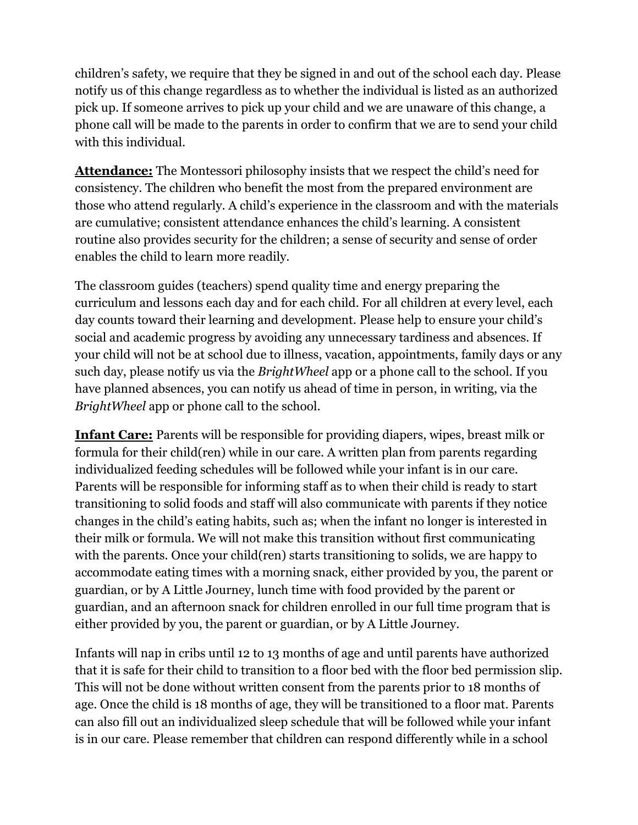children's safety, we require that they be signed in and out of the school each day. Please notify us of this change regardless as to whether the individual is listed as an authorized pick up. If someone arrives to pick up your child and we are unaware of this change, a phone call will be made to the parents in order to confirm that we are to send your child with this individual.

**Attendance:** The Montessori philosophy insists that we respect the child's need for consistency. The children who benefit the most from the prepared environment are those who attend regularly. A child's experience in the classroom and with the materials are cumulative; consistent attendance enhances the child's learning. A consistent routine also provides security for the children; a sense of security and sense of order enables the child to learn more readily.

The classroom guides (teachers) spend quality time and energy preparing the curriculum and lessons each day and for each child. For all children at every level, each day counts toward their learning and development. Please help to ensure your child's social and academic progress by avoiding any unnecessary tardiness and absences. If your child will not be at school due to illness, vacation, appointments, family days or any such day, please notify us via the *BrightWheel* app or a phone call to the school. If you have planned absences, you can notify us ahead of time in person, in writing, via the *BrightWheel* app or phone call to the school.

**Infant Care:** Parents will be responsible for providing diapers, wipes, breast milk or formula for their child(ren) while in our care. A written plan from parents regarding individualized feeding schedules will be followed while your infant is in our care. Parents will be responsible for informing staff as to when their child is ready to start transitioning to solid foods and staff will also communicate with parents if they notice changes in the child's eating habits, such as; when the infant no longer is interested in their milk or formula. We will not make this transition without first communicating with the parents. Once your child(ren) starts transitioning to solids, we are happy to accommodate eating times with a morning snack, either provided by you, the parent or guardian, or by A Little Journey, lunch time with food provided by the parent or guardian, and an afternoon snack for children enrolled in our full time program that is either provided by you, the parent or guardian, or by A Little Journey.

Infants will nap in cribs until 12 to 13 months of age and until parents have authorized that it is safe for their child to transition to a floor bed with the floor bed permission slip. This will not be done without written consent from the parents prior to 18 months of age. Once the child is 18 months of age, they will be transitioned to a floor mat. Parents can also fill out an individualized sleep schedule that will be followed while your infant is in our care. Please remember that children can respond differently while in a school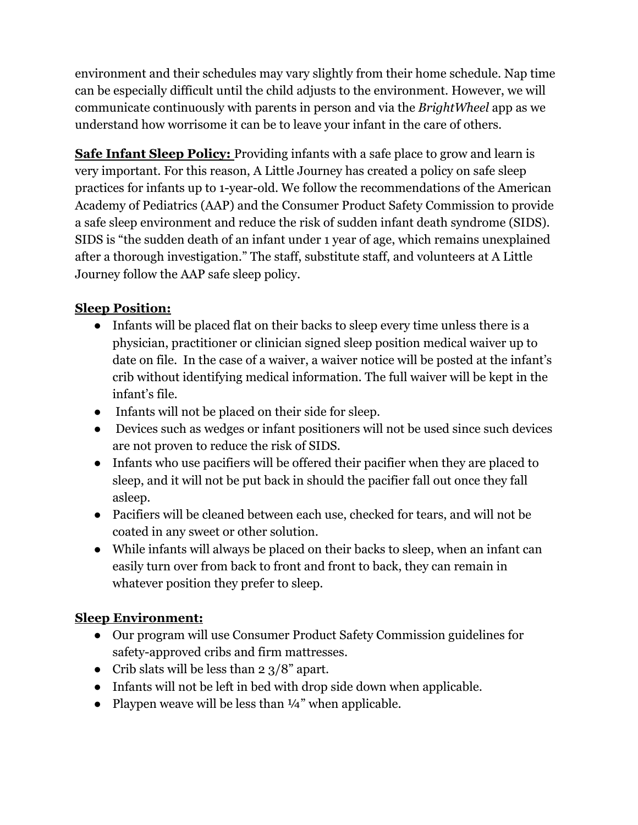environment and their schedules may vary slightly from their home schedule. Nap time can be especially difficult until the child adjusts to the environment. However, we will communicate continuously with parents in person and via the *BrightWheel* app as we understand how worrisome it can be to leave your infant in the care of others.

**Safe Infant Sleep Policy:** Providing infants with a safe place to grow and learn is very important. For this reason, A Little Journey has created a policy on safe sleep practices for infants up to 1-year-old. We follow the recommendations of the American Academy of Pediatrics (AAP) and the Consumer Product Safety Commission to provide a safe sleep environment and reduce the risk of sudden infant death syndrome (SIDS). SIDS is "the sudden death of an infant under 1 year of age, which remains unexplained after a thorough investigation." The staff, substitute staff, and volunteers at A Little Journey follow the AAP safe sleep policy.

#### **Sleep Position:**

- Infants will be placed flat on their backs to sleep every time unless there is a physician, practitioner or clinician signed sleep position medical waiver up to date on file. In the case of a waiver, a waiver notice will be posted at the infant's crib without identifying medical information. The full waiver will be kept in the infant's file.
- Infants will not be placed on their side for sleep.
- Devices such as wedges or infant positioners will not be used since such devices are not proven to reduce the risk of SIDS.
- Infants who use pacifiers will be offered their pacifier when they are placed to sleep, and it will not be put back in should the pacifier fall out once they fall asleep.
- Pacifiers will be cleaned between each use, checked for tears, and will not be coated in any sweet or other solution.
- While infants will always be placed on their backs to sleep, when an infant can easily turn over from back to front and front to back, they can remain in whatever position they prefer to sleep.

#### **Sleep Environment:**

- Our program will use Consumer Product Safety Commission guidelines for safety-approved cribs and firm mattresses.
- Crib slats will be less than  $2 \frac{3}{8}$  apart.
- Infants will not be left in bed with drop side down when applicable.
- Playpen weave will be less than  $\frac{1}{4}$  when applicable.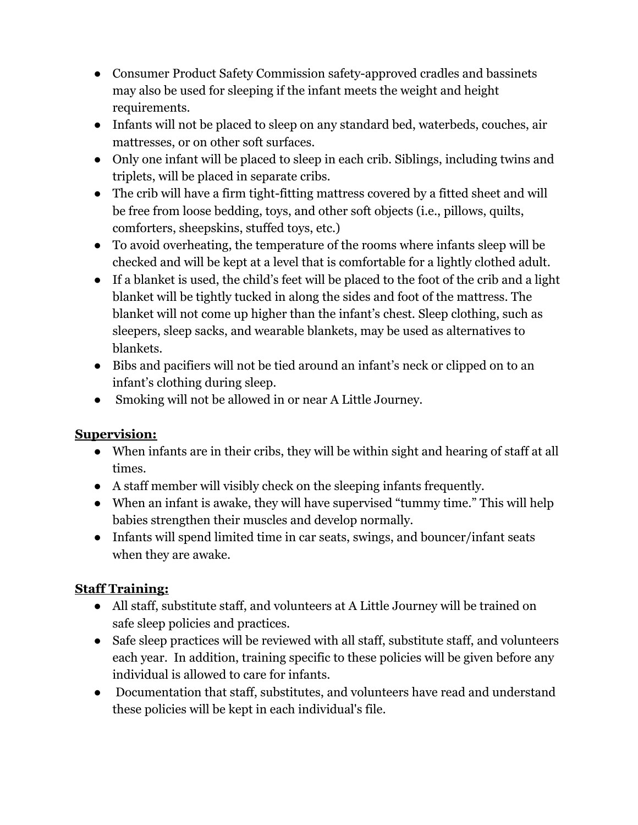- Consumer Product Safety Commission safety-approved cradles and bassinets may also be used for sleeping if the infant meets the weight and height requirements.
- Infants will not be placed to sleep on any standard bed, waterbeds, couches, air mattresses, or on other soft surfaces.
- Only one infant will be placed to sleep in each crib. Siblings, including twins and triplets, will be placed in separate cribs.
- The crib will have a firm tight-fitting mattress covered by a fitted sheet and will be free from loose bedding, toys, and other soft objects (i.e., pillows, quilts, comforters, sheepskins, stuffed toys, etc.)
- To avoid overheating, the temperature of the rooms where infants sleep will be checked and will be kept at a level that is comfortable for a lightly clothed adult.
- If a blanket is used, the child's feet will be placed to the foot of the crib and a light blanket will be tightly tucked in along the sides and foot of the mattress. The blanket will not come up higher than the infant's chest. Sleep clothing, such as sleepers, sleep sacks, and wearable blankets, may be used as alternatives to blankets.
- Bibs and pacifiers will not be tied around an infant's neck or clipped on to an infant's clothing during sleep.
- Smoking will not be allowed in or near A Little Journey.

#### **Supervision:**

- When infants are in their cribs, they will be within sight and hearing of staff at all times.
- A staff member will visibly check on the sleeping infants frequently.
- When an infant is awake, they will have supervised "tummy time." This will help babies strengthen their muscles and develop normally.
- Infants will spend limited time in car seats, swings, and bouncer/infant seats when they are awake.

#### **Staff Training:**

- All staff, substitute staff, and volunteers at A Little Journey will be trained on safe sleep policies and practices.
- Safe sleep practices will be reviewed with all staff, substitute staff, and volunteers each year. In addition, training specific to these policies will be given before any individual is allowed to care for infants.
- Documentation that staff, substitutes, and volunteers have read and understand these policies will be kept in each individual's file.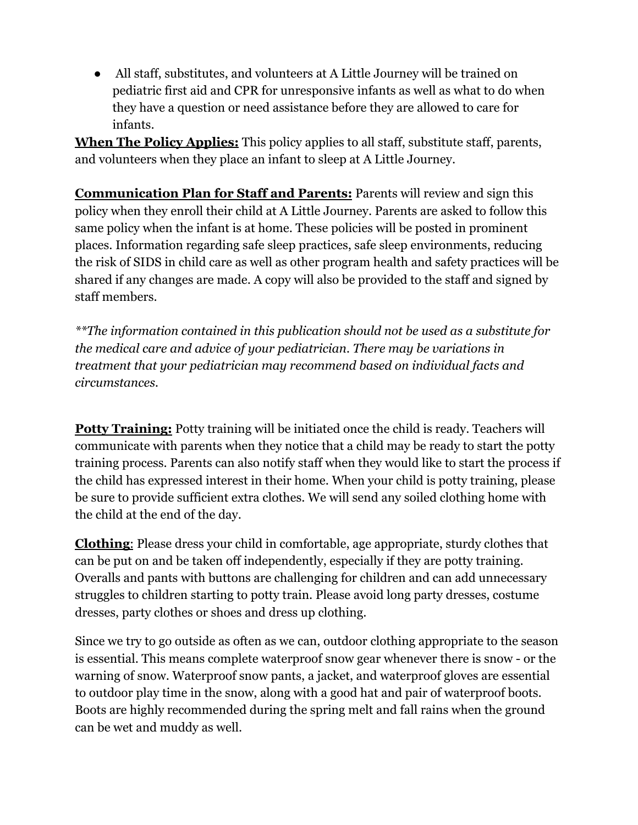● All staff, substitutes, and volunteers at A Little Journey will be trained on pediatric first aid and CPR for unresponsive infants as well as what to do when they have a question or need assistance before they are allowed to care for infants.

**When The Policy Applies:** This policy applies to all staff, substitute staff, parents, and volunteers when they place an infant to sleep at A Little Journey.

**Communication Plan for Staff and Parents:** Parents will review and sign this policy when they enroll their child at A Little Journey. Parents are asked to follow this same policy when the infant is at home. These policies will be posted in prominent places. Information regarding safe sleep practices, safe sleep environments, reducing the risk of SIDS in child care as well as other program health and safety practices will be shared if any changes are made. A copy will also be provided to the staff and signed by staff members.

*\*\*The information contained in this publication should not be used as a substitute for the medical care and advice of your pediatrician. There may be variations in treatment that your pediatrician may recommend based on individual facts and circumstances.*

**Potty Training:** Potty training will be initiated once the child is ready. Teachers will communicate with parents when they notice that a child may be ready to start the potty training process. Parents can also notify staff when they would like to start the process if the child has expressed interest in their home. When your child is potty training, please be sure to provide sufficient extra clothes. We will send any soiled clothing home with the child at the end of the day.

**Clothing**: Please dress your child in comfortable, age appropriate, sturdy clothes that can be put on and be taken off independently, especially if they are potty training. Overalls and pants with buttons are challenging for children and can add unnecessary struggles to children starting to potty train. Please avoid long party dresses, costume dresses, party clothes or shoes and dress up clothing.

Since we try to go outside as often as we can, outdoor clothing appropriate to the season is essential. This means complete waterproof snow gear whenever there is snow - or the warning of snow. Waterproof snow pants, a jacket, and waterproof gloves are essential to outdoor play time in the snow, along with a good hat and pair of waterproof boots. Boots are highly recommended during the spring melt and fall rains when the ground can be wet and muddy as well.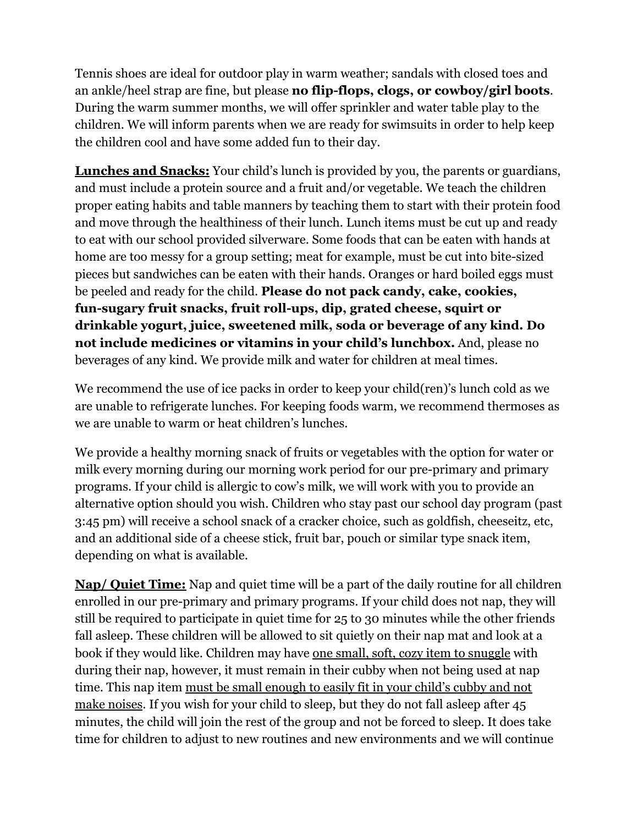Tennis shoes are ideal for outdoor play in warm weather; sandals with closed toes and an ankle/heel strap are fine, but please **no flip-flops, clogs, or cowboy/girl boots**. During the warm summer months, we will offer sprinkler and water table play to the children. We will inform parents when we are ready for swimsuits in order to help keep the children cool and have some added fun to their day.

**Lunches and Snacks:** Your child's lunch is provided by you, the parents or guardians, and must include a protein source and a fruit and/or vegetable. We teach the children proper eating habits and table manners by teaching them to start with their protein food and move through the healthiness of their lunch. Lunch items must be cut up and ready to eat with our school provided silverware. Some foods that can be eaten with hands at home are too messy for a group setting; meat for example, must be cut into bite-sized pieces but sandwiches can be eaten with their hands. Oranges or hard boiled eggs must be peeled and ready for the child. **Please do not pack candy, cake, cookies, fun-sugary fruit snacks, fruit roll-ups, dip, grated cheese, squirt or drinkable yogurt, juice, sweetened milk, soda or beverage of any kind. Do not include medicines or vitamins in your child's lunchbox.** And, please no beverages of any kind. We provide milk and water for children at meal times.

We recommend the use of ice packs in order to keep your child(ren)'s lunch cold as we are unable to refrigerate lunches. For keeping foods warm, we recommend thermoses as we are unable to warm or heat children's lunches.

We provide a healthy morning snack of fruits or vegetables with the option for water or milk every morning during our morning work period for our pre-primary and primary programs. If your child is allergic to cow's milk, we will work with you to provide an alternative option should you wish. Children who stay past our school day program (past 3:45 pm) will receive a school snack of a cracker choice, such as goldfish, cheeseitz, etc, and an additional side of a cheese stick, fruit bar, pouch or similar type snack item, depending on what is available.

**Nap/ Quiet Time:** Nap and quiet time will be a part of the daily routine for all children enrolled in our pre-primary and primary programs. If your child does not nap, they will still be required to participate in quiet time for 25 to 30 minutes while the other friends fall asleep. These children will be allowed to sit quietly on their nap mat and look at a book if they would like. Children may have one small, soft, cozy item to snuggle with during their nap, however, it must remain in their cubby when not being used at nap time. This nap item must be small enough to easily fit in your child's cubby and not make noises. If you wish for your child to sleep, but they do not fall asleep after 45 minutes, the child will join the rest of the group and not be forced to sleep. It does take time for children to adjust to new routines and new environments and we will continue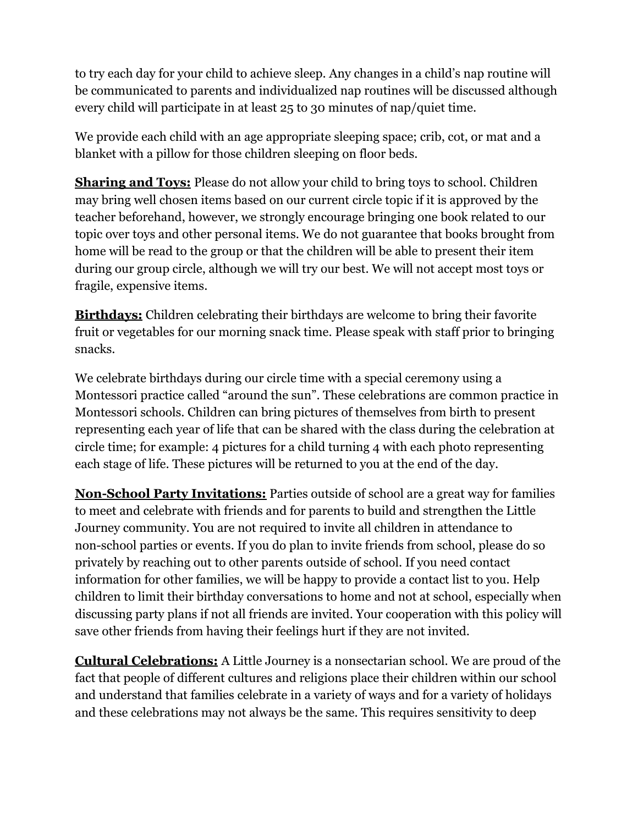to try each day for your child to achieve sleep. Any changes in a child's nap routine will be communicated to parents and individualized nap routines will be discussed although every child will participate in at least 25 to 30 minutes of nap/quiet time.

We provide each child with an age appropriate sleeping space; crib, cot, or mat and a blanket with a pillow for those children sleeping on floor beds.

**Sharing and Toys:** Please do not allow your child to bring toys to school. Children may bring well chosen items based on our current circle topic if it is approved by the teacher beforehand, however, we strongly encourage bringing one book related to our topic over toys and other personal items. We do not guarantee that books brought from home will be read to the group or that the children will be able to present their item during our group circle, although we will try our best. We will not accept most toys or fragile, expensive items.

**Birthdays:** Children celebrating their birthdays are welcome to bring their favorite fruit or vegetables for our morning snack time. Please speak with staff prior to bringing snacks.

We celebrate birthdays during our circle time with a special ceremony using a Montessori practice called "around the sun". These celebrations are common practice in Montessori schools. Children can bring pictures of themselves from birth to present representing each year of life that can be shared with the class during the celebration at circle time; for example: 4 pictures for a child turning 4 with each photo representing each stage of life. These pictures will be returned to you at the end of the day.

**Non-School Party Invitations:** Parties outside of school are a great way for families to meet and celebrate with friends and for parents to build and strengthen the Little Journey community. You are not required to invite all children in attendance to non-school parties or events. If you do plan to invite friends from school, please do so privately by reaching out to other parents outside of school. If you need contact information for other families, we will be happy to provide a contact list to you. Help children to limit their birthday conversations to home and not at school, especially when discussing party plans if not all friends are invited. Your cooperation with this policy will save other friends from having their feelings hurt if they are not invited.

**Cultural Celebrations:** A Little Journey is a nonsectarian school. We are proud of the fact that people of different cultures and religions place their children within our school and understand that families celebrate in a variety of ways and for a variety of holidays and these celebrations may not always be the same. This requires sensitivity to deep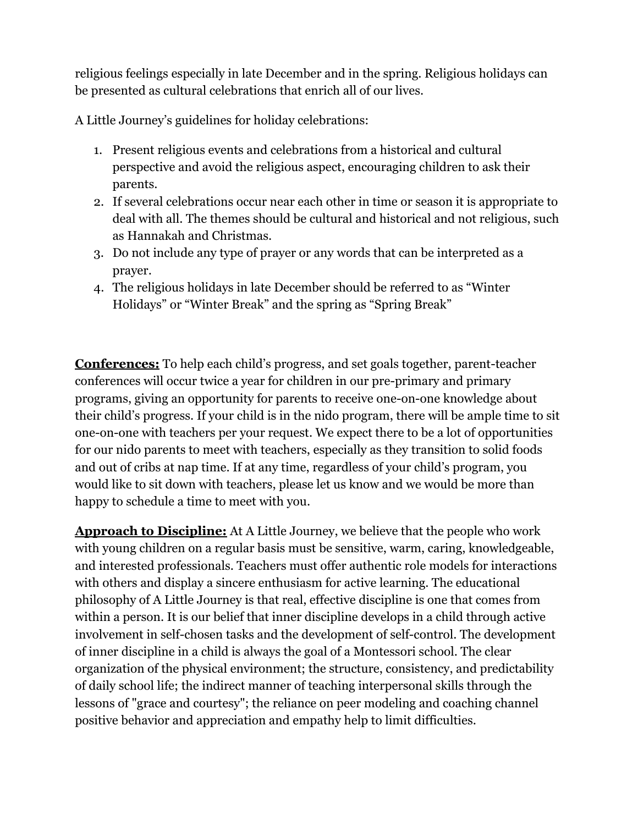religious feelings especially in late December and in the spring. Religious holidays can be presented as cultural celebrations that enrich all of our lives.

A Little Journey's guidelines for holiday celebrations:

- 1. Present religious events and celebrations from a historical and cultural perspective and avoid the religious aspect, encouraging children to ask their parents.
- 2. If several celebrations occur near each other in time or season it is appropriate to deal with all. The themes should be cultural and historical and not religious, such as Hannakah and Christmas.
- 3. Do not include any type of prayer or any words that can be interpreted as a prayer.
- 4. The religious holidays in late December should be referred to as "Winter Holidays" or "Winter Break" and the spring as "Spring Break"

**Conferences:** To help each child's progress, and set goals together, parent-teacher conferences will occur twice a year for children in our pre-primary and primary programs, giving an opportunity for parents to receive one-on-one knowledge about their child's progress. If your child is in the nido program, there will be ample time to sit one-on-one with teachers per your request. We expect there to be a lot of opportunities for our nido parents to meet with teachers, especially as they transition to solid foods and out of cribs at nap time. If at any time, regardless of your child's program, you would like to sit down with teachers, please let us know and we would be more than happy to schedule a time to meet with you.

**Approach to Discipline:** At A Little Journey, we believe that the people who work with young children on a regular basis must be sensitive, warm, caring, knowledgeable, and interested professionals. Teachers must offer authentic role models for interactions with others and display a sincere enthusiasm for active learning. The educational philosophy of A Little Journey is that real, effective discipline is one that comes from within a person. It is our belief that inner discipline develops in a child through active involvement in self-chosen tasks and the development of self-control. The development of inner discipline in a child is always the goal of a Montessori school. The clear organization of the physical environment; the structure, consistency, and predictability of daily school life; the indirect manner of teaching interpersonal skills through the lessons of "grace and courtesy"; the reliance on peer modeling and coaching channel positive behavior and appreciation and empathy help to limit difficulties.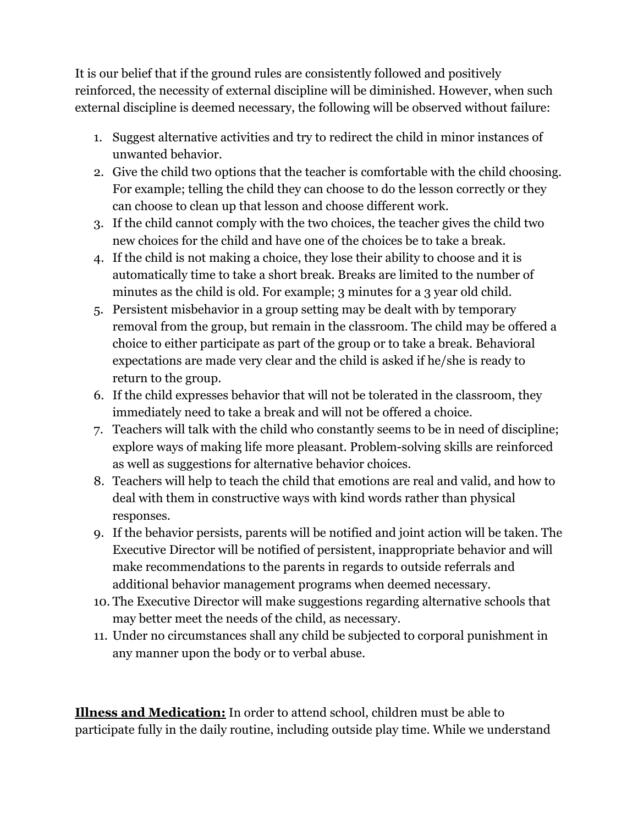It is our belief that if the ground rules are consistently followed and positively reinforced, the necessity of external discipline will be diminished. However, when such external discipline is deemed necessary, the following will be observed without failure:

- 1. Suggest alternative activities and try to redirect the child in minor instances of unwanted behavior.
- 2. Give the child two options that the teacher is comfortable with the child choosing. For example; telling the child they can choose to do the lesson correctly or they can choose to clean up that lesson and choose different work.
- 3. If the child cannot comply with the two choices, the teacher gives the child two new choices for the child and have one of the choices be to take a break.
- 4. If the child is not making a choice, they lose their ability to choose and it is automatically time to take a short break. Breaks are limited to the number of minutes as the child is old. For example; 3 minutes for a 3 year old child.
- 5. Persistent misbehavior in a group setting may be dealt with by temporary removal from the group, but remain in the classroom. The child may be offered a choice to either participate as part of the group or to take a break. Behavioral expectations are made very clear and the child is asked if he/she is ready to return to the group.
- 6. If the child expresses behavior that will not be tolerated in the classroom, they immediately need to take a break and will not be offered a choice.
- 7. Teachers will talk with the child who constantly seems to be in need of discipline; explore ways of making life more pleasant. Problem-solving skills are reinforced as well as suggestions for alternative behavior choices.
- 8. Teachers will help to teach the child that emotions are real and valid, and how to deal with them in constructive ways with kind words rather than physical responses.
- 9. If the behavior persists, parents will be notified and joint action will be taken. The Executive Director will be notified of persistent, inappropriate behavior and will make recommendations to the parents in regards to outside referrals and additional behavior management programs when deemed necessary.
- 10. The Executive Director will make suggestions regarding alternative schools that may better meet the needs of the child, as necessary.
- 11. Under no circumstances shall any child be subjected to corporal punishment in any manner upon the body or to verbal abuse.

**Illness and Medication:** In order to attend school, children must be able to participate fully in the daily routine, including outside play time. While we understand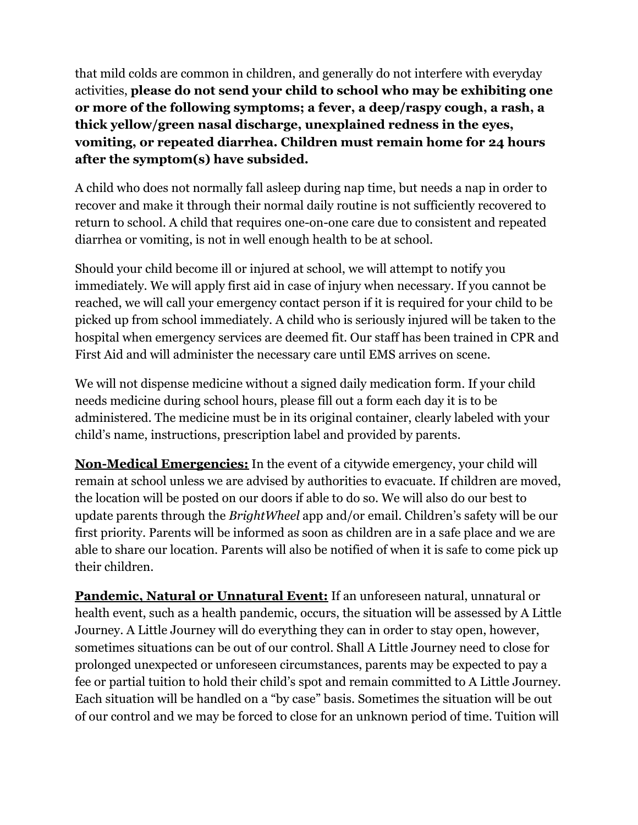that mild colds are common in children, and generally do not interfere with everyday activities, **please do not send your child to school who may be exhibiting one or more of the following symptoms; a fever, a deep/raspy cough, a rash, a thick yellow/green nasal discharge, unexplained redness in the eyes, vomiting, or repeated diarrhea. Children must remain home for 24 hours after the symptom(s) have subsided.**

A child who does not normally fall asleep during nap time, but needs a nap in order to recover and make it through their normal daily routine is not sufficiently recovered to return to school. A child that requires one-on-one care due to consistent and repeated diarrhea or vomiting, is not in well enough health to be at school.

Should your child become ill or injured at school, we will attempt to notify you immediately. We will apply first aid in case of injury when necessary. If you cannot be reached, we will call your emergency contact person if it is required for your child to be picked up from school immediately. A child who is seriously injured will be taken to the hospital when emergency services are deemed fit. Our staff has been trained in CPR and First Aid and will administer the necessary care until EMS arrives on scene.

We will not dispense medicine without a signed daily medication form. If your child needs medicine during school hours, please fill out a form each day it is to be administered. The medicine must be in its original container, clearly labeled with your child's name, instructions, prescription label and provided by parents.

**Non-Medical Emergencies:** In the event of a citywide emergency, your child will remain at school unless we are advised by authorities to evacuate. If children are moved, the location will be posted on our doors if able to do so. We will also do our best to update parents through the *BrightWheel* app and/or email. Children's safety will be our first priority. Parents will be informed as soon as children are in a safe place and we are able to share our location. Parents will also be notified of when it is safe to come pick up their children.

**Pandemic, Natural or Unnatural Event:** If an unforeseen natural, unnatural or health event, such as a health pandemic, occurs, the situation will be assessed by A Little Journey. A Little Journey will do everything they can in order to stay open, however, sometimes situations can be out of our control. Shall A Little Journey need to close for prolonged unexpected or unforeseen circumstances, parents may be expected to pay a fee or partial tuition to hold their child's spot and remain committed to A Little Journey. Each situation will be handled on a "by case" basis. Sometimes the situation will be out of our control and we may be forced to close for an unknown period of time. Tuition will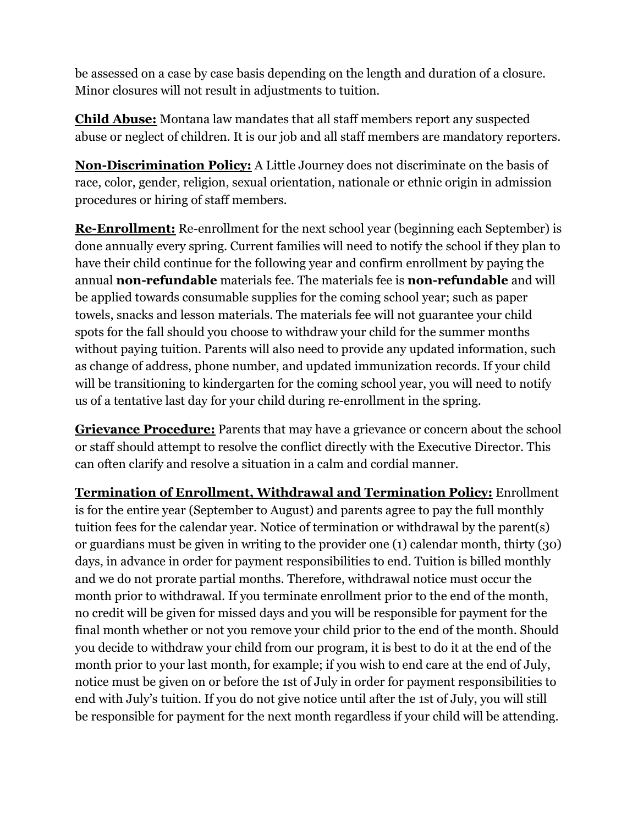be assessed on a case by case basis depending on the length and duration of a closure. Minor closures will not result in adjustments to tuition.

**Child Abuse:** Montana law mandates that all staff members report any suspected abuse or neglect of children. It is our job and all staff members are mandatory reporters.

**Non-Discrimination Policy:** A Little Journey does not discriminate on the basis of race, color, gender, religion, sexual orientation, nationale or ethnic origin in admission procedures or hiring of staff members.

**Re-Enrollment:** Re-enrollment for the next school year (beginning each September) is done annually every spring. Current families will need to notify the school if they plan to have their child continue for the following year and confirm enrollment by paying the annual **non-refundable** materials fee. The materials fee is **non-refundable** and will be applied towards consumable supplies for the coming school year; such as paper towels, snacks and lesson materials. The materials fee will not guarantee your child spots for the fall should you choose to withdraw your child for the summer months without paying tuition. Parents will also need to provide any updated information, such as change of address, phone number, and updated immunization records. If your child will be transitioning to kindergarten for the coming school year, you will need to notify us of a tentative last day for your child during re-enrollment in the spring.

**Grievance Procedure:** Parents that may have a grievance or concern about the school or staff should attempt to resolve the conflict directly with the Executive Director. This can often clarify and resolve a situation in a calm and cordial manner.

**Termination of Enrollment, Withdrawal and Termination Policy:** Enrollment is for the entire year (September to August) and parents agree to pay the full monthly tuition fees for the calendar year. Notice of termination or withdrawal by the parent(s) or guardians must be given in writing to the provider one (1) calendar month, thirty (30) days, in advance in order for payment responsibilities to end. Tuition is billed monthly and we do not prorate partial months. Therefore, withdrawal notice must occur the month prior to withdrawal. If you terminate enrollment prior to the end of the month, no credit will be given for missed days and you will be responsible for payment for the final month whether or not you remove your child prior to the end of the month. Should you decide to withdraw your child from our program, it is best to do it at the end of the month prior to your last month, for example; if you wish to end care at the end of July, notice must be given on or before the 1st of July in order for payment responsibilities to end with July's tuition. If you do not give notice until after the 1st of July, you will still be responsible for payment for the next month regardless if your child will be attending.